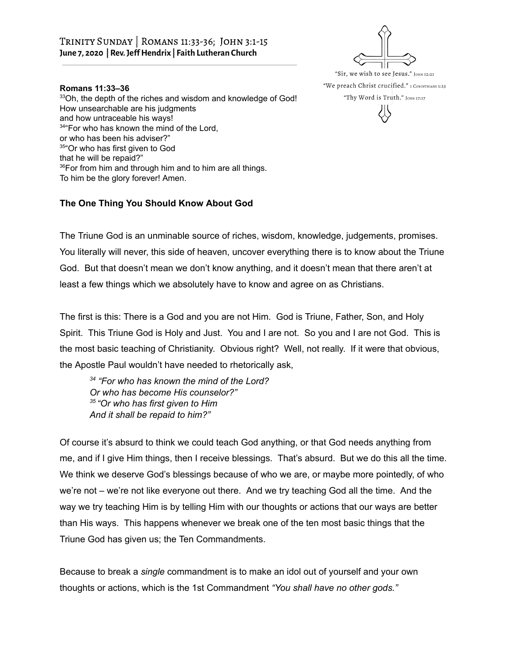## Trinity Sunday | Romans 11:33-36; John 3:1-15 **June 7, 2020 | Rev.JefHendrix | Faith Lutheran Church**

## **Romans 11:33–36**

<sup>33</sup>Oh, the depth of the riches and wisdom and knowledge of God! How unsearchable are his judgments and how untraceable his ways! <sup>34</sup> For who has known the mind of the Lord, or who has been his adviser?" <sup>35</sup>"Or who has first given to God that he will be repaid?" 36For from him and through him and to him are all things. To him be the glory forever! Amen.

## **The One Thing You Should Know About God**

"Sir, we wish to see Jesus." JOHN 12:21 "We preach Christ crucified." 1 CORINTHIANS 1:23 "Thy Word is Truth." JOHN 17:17

The Triune God is an unminable source of riches, wisdom, knowledge, judgements, promises. You literally will never, this side of heaven, uncover everything there is to know about the Triune God. But that doesn't mean we don't know anything, and it doesn't mean that there aren't at least a few things which we absolutely have to know and agree on as Christians.

The first is this: There is a God and you are not Him. God is Triune, Father, Son, and Holy Spirit. This Triune God is Holy and Just. You and I are not. So you and I are not God. This is the most basic teaching of Christianity. Obvious right? Well, not really. If it were that obvious, the Apostle Paul wouldn't have needed to rhetorically ask,

*34 "For who has known the mind of the Lord? Or who has become His counselor?" 35 "Or who has first given to Him And it shall be repaid to him?"*

Of course it's absurd to think we could teach God anything, or that God needs anything from me, and if I give Him things, then I receive blessings. That's absurd. But we do this all the time. We think we deserve God's blessings because of who we are, or maybe more pointedly, of who we're not – we're not like everyone out there. And we try teaching God all the time. And the way we try teaching Him is by telling Him with our thoughts or actions that our ways are better than His ways. This happens whenever we break one of the ten most basic things that the Triune God has given us; the Ten Commandments.

Because to break a *single* commandment is to make an idol out of yourself and your own thoughts or actions, which is the 1st Commandment *"You shall have no other gods."*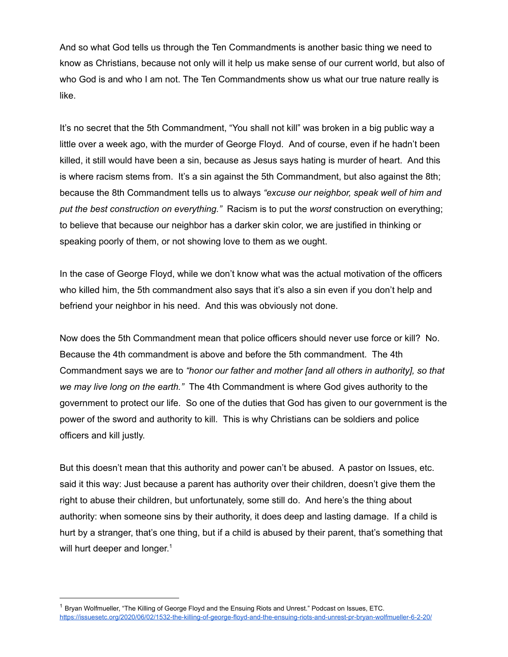And so what God tells us through the Ten Commandments is another basic thing we need to know as Christians, because not only will it help us make sense of our current world, but also of who God is and who I am not. The Ten Commandments show us what our true nature really is like.

It's no secret that the 5th Commandment, "You shall not kill" was broken in a big public way a little over a week ago, with the murder of George Floyd. And of course, even if he hadn't been killed, it still would have been a sin, because as Jesus says hating is murder of heart. And this is where racism stems from. It's a sin against the 5th Commandment, but also against the 8th; because the 8th Commandment tells us to always *"excuse our neighbor, speak well of him and put the best construction on everything."* Racism is to put the *worst* construction on everything; to believe that because our neighbor has a darker skin color, we are justified in thinking or speaking poorly of them, or not showing love to them as we ought.

In the case of George Floyd, while we don't know what was the actual motivation of the officers who killed him, the 5th commandment also says that it's also a sin even if you don't help and befriend your neighbor in his need. And this was obviously not done.

Now does the 5th Commandment mean that police officers should never use force or kill? No. Because the 4th commandment is above and before the 5th commandment. The 4th Commandment says we are to *"honor our father and mother [and all others in authority], so that we may live long on the earth."* The 4th Commandment is where God gives authority to the government to protect our life. So one of the duties that God has given to our government is the power of the sword and authority to kill. This is why Christians can be soldiers and police officers and kill justly.

But this doesn't mean that this authority and power can't be abused. A pastor on Issues, etc. said it this way: Just because a parent has authority over their children, doesn't give them the right to abuse their children, but unfortunately, some still do. And here's the thing about authority: when someone sins by their authority, it does deep and lasting damage. If a child is hurt by a stranger, that's one thing, but if a child is abused by their parent, that's something that will hurt deeper and longer.<sup>1</sup>

<sup>&</sup>lt;sup>1</sup> Bryan Wolfmueller, "The Killing of George Floyd and the Ensuing Riots and Unrest." Podcast on Issues, ETC. <https://issuesetc.org/2020/06/02/1532-the-killing-of-george-floyd-and-the-ensuing-riots-and-unrest-pr-bryan-wolfmueller-6-2-20/>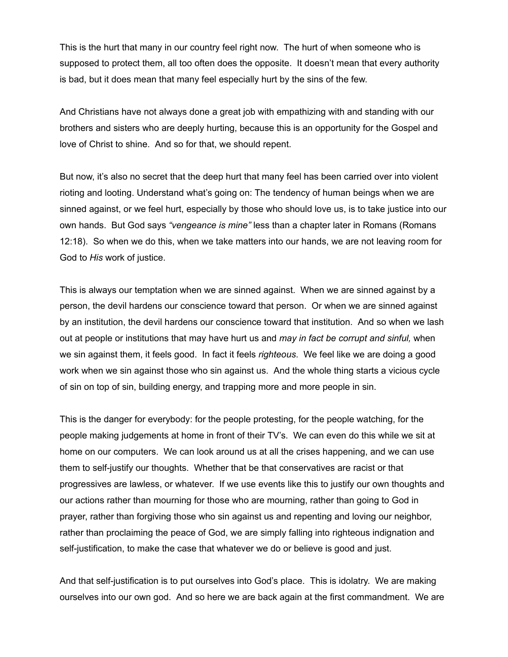This is the hurt that many in our country feel right now. The hurt of when someone who is supposed to protect them, all too often does the opposite. It doesn't mean that every authority is bad, but it does mean that many feel especially hurt by the sins of the few.

And Christians have not always done a great job with empathizing with and standing with our brothers and sisters who are deeply hurting, because this is an opportunity for the Gospel and love of Christ to shine. And so for that, we should repent.

But now, it's also no secret that the deep hurt that many feel has been carried over into violent rioting and looting. Understand what's going on: The tendency of human beings when we are sinned against, or we feel hurt, especially by those who should love us, is to take justice into our own hands. But God says *"vengeance is mine"* less than a chapter later in Romans (Romans 12:18). So when we do this, when we take matters into our hands, we are not leaving room for God to *His* work of justice.

This is always our temptation when we are sinned against. When we are sinned against by a person, the devil hardens our conscience toward that person. Or when we are sinned against by an institution, the devil hardens our conscience toward that institution. And so when we lash out at people or institutions that may have hurt us and *may in fact be corrupt and sinful,* when we sin against them, it feels good. In fact it feels *righteous*. We feel like we are doing a good work when we sin against those who sin against us. And the whole thing starts a vicious cycle of sin on top of sin, building energy, and trapping more and more people in sin.

This is the danger for everybody: for the people protesting, for the people watching, for the people making judgements at home in front of their TV's. We can even do this while we sit at home on our computers. We can look around us at all the crises happening, and we can use them to self-justify our thoughts. Whether that be that conservatives are racist or that progressives are lawless, or whatever. If we use events like this to justify our own thoughts and our actions rather than mourning for those who are mourning, rather than going to God in prayer, rather than forgiving those who sin against us and repenting and loving our neighbor, rather than proclaiming the peace of God, we are simply falling into righteous indignation and self-justification, to make the case that whatever we do or believe is good and just.

And that self-justification is to put ourselves into God's place. This is idolatry. We are making ourselves into our own god. And so here we are back again at the first commandment. We are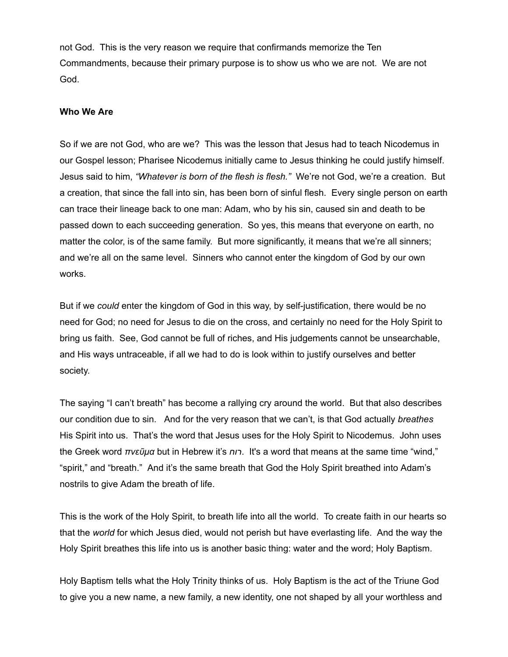not God. This is the very reason we require that confirmands memorize the Ten Commandments, because their primary purpose is to show us who we are not. We are not God.

## **Who We Are**

So if we are not God, who are we? This was the lesson that Jesus had to teach Nicodemus in our Gospel lesson; Pharisee Nicodemus initially came to Jesus thinking he could justify himself. Jesus said to him, *"Whatever is born of the flesh is flesh."* We're not God, we're a creation. But a creation, that since the fall into sin, has been born of sinful flesh. Every single person on earth can trace their lineage back to one man: Adam, who by his sin, caused sin and death to be passed down to each succeeding generation. So yes, this means that everyone on earth, no matter the color, is of the same family. But more significantly, it means that we're all sinners; and we're all on the same level. Sinners who cannot enter the kingdom of God by our own works.

But if we *could* enter the kingdom of God in this way, by self-justification, there would be no need for God; no need for Jesus to die on the cross, and certainly no need for the Holy Spirit to bring us faith. See, God cannot be full of riches, and His judgements cannot be unsearchable, and His ways untraceable, if all we had to do is look within to justify ourselves and better society.

The saying "I can't breath" has become a rallying cry around the world. But that also describes our condition due to sin. And for the very reason that we can't, is that God actually *breathes* His Spirit into us. That's the word that Jesus uses for the Holy Spirit to Nicodemus. John uses the Greek word *πνεῦμα* but in Hebrew it's *n*<sub>1</sub>. It's a word that means at the same time "wind," "spirit," and "breath." And it's the same breath that God the Holy Spirit breathed into Adam's nostrils to give Adam the breath of life.

This is the work of the Holy Spirit, to breath life into all the world. To create faith in our hearts so that the *world* for which Jesus died, would not perish but have everlasting life. And the way the Holy Spirit breathes this life into us is another basic thing: water and the word; Holy Baptism.

Holy Baptism tells what the Holy Trinity thinks of us. Holy Baptism is the act of the Triune God to give you a new name, a new family, a new identity, one not shaped by all your worthless and